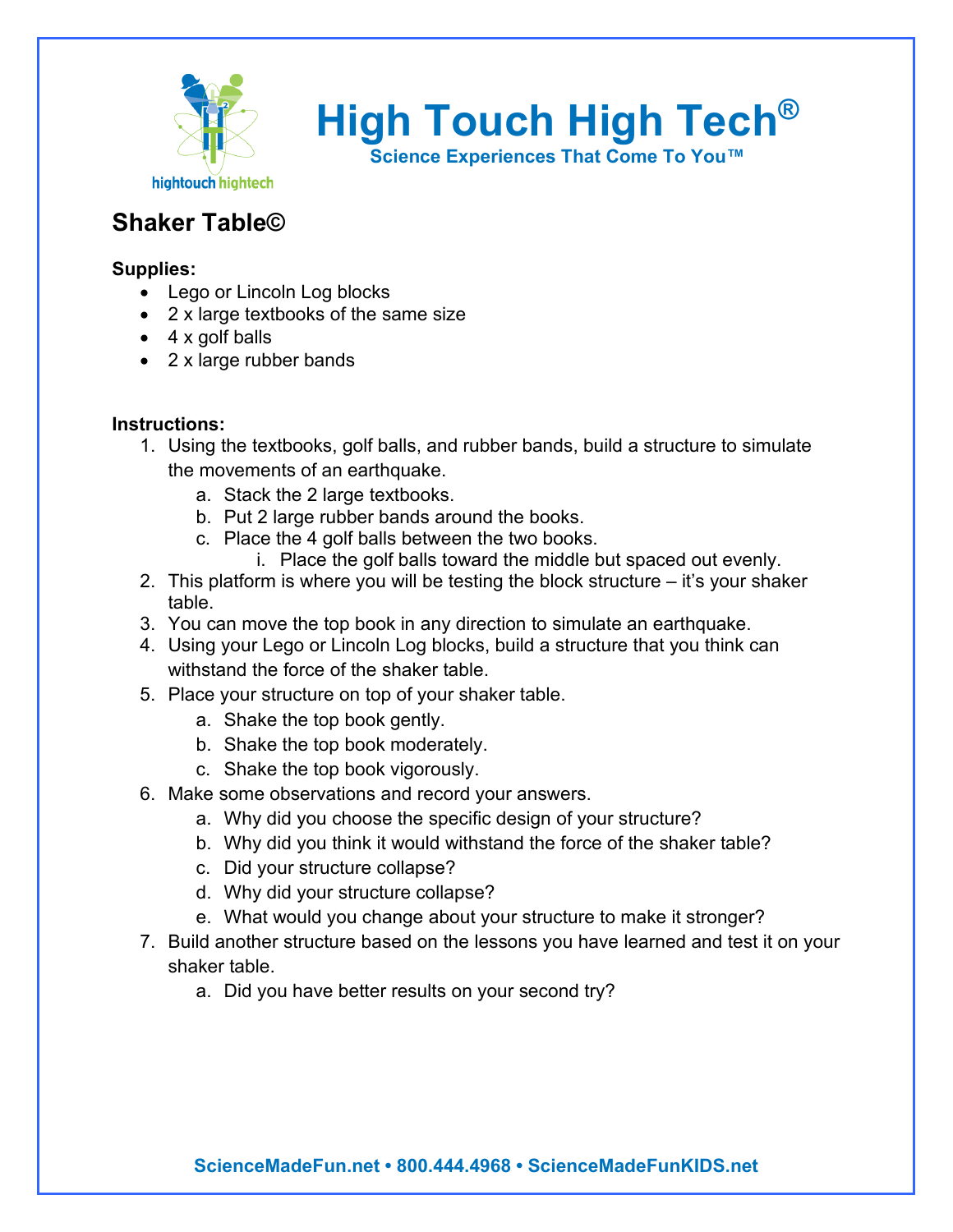

**High Touch High Tech®**

**Science Experiences That Come To You™**

## **Shaker Table©**

## **Supplies:**

- Lego or Lincoln Log blocks
- 2 x large textbooks of the same size
- $\bullet$  4 x golf balls
- 2 x large rubber bands

## **Instructions:**

- 1. Using the textbooks, golf balls, and rubber bands, build a structure to simulate the movements of an earthquake.
	- a. Stack the 2 large textbooks.
	- b. Put 2 large rubber bands around the books.
	- c. Place the 4 golf balls between the two books.
		- i. Place the golf balls toward the middle but spaced out evenly.
- 2. This platform is where you will be testing the block structure it's your shaker table.
- 3. You can move the top book in any direction to simulate an earthquake.
- 4. Using your Lego or Lincoln Log blocks, build a structure that you think can withstand the force of the shaker table.
- 5. Place your structure on top of your shaker table.
	- a. Shake the top book gently.
	- b. Shake the top book moderately.
	- c. Shake the top book vigorously.
- 6. Make some observations and record your answers.
	- a. Why did you choose the specific design of your structure?
	- b. Why did you think it would withstand the force of the shaker table?
	- c. Did your structure collapse?
	- d. Why did your structure collapse?
	- e. What would you change about your structure to make it stronger?
- 7. Build another structure based on the lessons you have learned and test it on your shaker table.
	- a. Did you have better results on your second try?